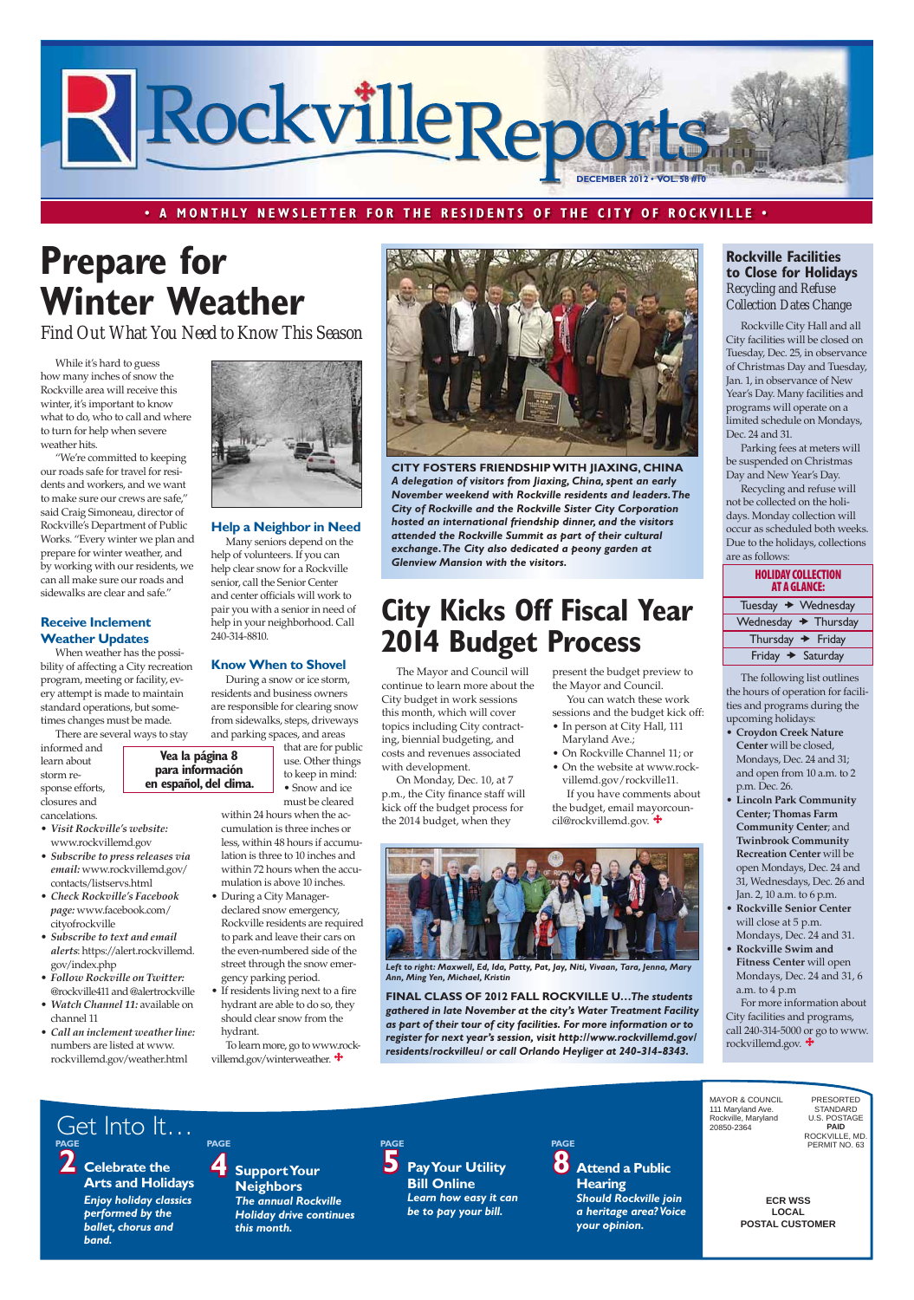**ECR WSS LOCAL POSTAL CUSTOMER**

MAYOR & COUNCIL 111 Maryland Ave. Rockville, Maryland 20850-2364

PRESORTED STANDARD U.S. POSTAGE **PAID** ROCKVILLE, MD. PERMIT NO. 63

*band.*

**2 Celebrate the Arts and Holidays** *Enjoy holiday classics performed by the ballet, chorus and*  **4 Support Your Neighbors**  *The annual Rockville Holiday drive continues this month.* PAGE<br>**5** Pay Your Utility **Bill Online**  *Learn how easy it can be to pay your bill.* **PAGE** Get Into It… **PAGE PAGE PAGE**

**8 Attend a Public Hearing** *Should Rockville join a heritage area? Voice your opinion.*



#### **·** A MONTHLY NEWSLETTER FOR THE RESIDENTS OF THE CITY OF ROCKVILLE  $\cdot$

# **Prepare for Winter Weather**

#### **HOLIDAY COLLECTION AT A GLANCE:**

| Tuesday → Wednesday              |  |
|----------------------------------|--|
| Wednesday $\rightarrow$ Thursday |  |
| Thursday $\rightarrow$ Friday    |  |
| Friday $\rightarrow$ Saturday    |  |

While it's hard to guess how many inches of snow the Rockville area will receive this winter, it's important to know what to do, who to call and where to turn for help when severe weather hits.

• Call an inclement weather line: numbers are listed at www. rockvillemd.gov/weather.html

#### **Rockville Facilities** to Close for Holidays *Recycling and Refuse Collection Dates Change*

"We're committed to keeping our roads safe for travel for residents and workers, and we want to make sure our crews are safe," said Craig Simoneau, director of Rockville's Department of Public Works. "Every winter we plan and prepare for winter weather, and by working with our residents, we can all make sure our roads and sidewalks are clear and safe."

#### **Receive Inclement Weather Updates**

When weather has the possibility of affecting a City recreation program, meeting or facility, every attempt is made to maintain standard operations, but sometimes changes must be made.

There are several ways to stay

informed and learn about storm response efforts, closures and cancelations.

- Visit Rockville's website: www.rockvillemd.gov
- **•** Subscribe to press releases via  $email:$  www.rockvillemd.gov/ contacts/listservs.html
- Check Rockville's Facebook page: www.facebook.com/ cityofrockville
- Subscribe to text and email alerts: https://alert.rockvillemd. gov/index.php
- **Follow Rockville on Twitter:** @rockville411 and @alertrockville • Watch Channel 11: available on
- 



- **Croydon Creek Nature** Center will be closed, Mondays, Dec. 24 and 31; and open from 10 a.m. to 2 p.m. Dec. 26.
- **Lincoln Park Community Center; Thomas Farm Community Center**; and **Twinbrook Community Recreation Center** will be open Mondays, Dec. 24 and 31, Wednesdays, Dec. 26 and Jan. 2, 10 a.m. to 6 p.m.
- **Rockville Senior Center** will close at 5 p.m. Mondays, Dec. 24 and 31.
- **Rockville Swim and Fitness Center** will open Mondays, Dec. 24 and 31, 6 a.m. to 4 p.m
- For more information about

City facilities and programs, call 240-314-5000 or go to www. rockvillemd.gov.

channel 11

that are for public use. Other things to keep in mind: • Snow and ice en español, del clima.

Rockville City Hall and all City facilities will be closed on Tuesday, Dec. 25, in observance of Christmas Day and Tuesday, Jan. 1, in observance of New Year's Day. Many facilities and programs will operate on a limited schedule on Mondays, Dec. 24 and 31.

Parking fees at meters will be suspended on Christmas Day and New Year's Day.

- During a City Managerdeclared snow emergency, Rockville residents are required to park and leave their cars on the even-numbered side of the street through the snow emergency parking period.
- If residents living next to a fire hydrant are able to do so, they

To learn more, go to www.rockvillemd.gov/winterweather.  $\ddot{\bullet}$ 

Recycling and refuse will not be collected on the holidays. Monday collection will occur as scheduled both weeks. Due to the holidays, collections are as follows:

The following list outlines the hours of operation for facilities and programs during the upcoming holidays:

- In person at City Hall, 111 Maryland Ave.;
- On Rockville Channel 11; or • On the website at www.rockvillemd.gov/rockville11. If you have comments about the budget, email mayorcoun-

cil@rockvillemd.gov.  $\ddot{\bullet}$ 

The Mayor and Council will continue to learn more about the City budget in work sessions this month, which will cover topics including City contracting, biennial budgeting, and costs and revenues associated with development.

On Monday, Dec. 10, at 7 p.m., the City finance staff will kick off the budget process for the 2014 budget, when they



**CITY FOSTERS FRIENDSHIP WITH JIAXING, CHINA** *A delegation of visitors from Jiaxing, China, spent an early November weekend with Rockville residents and leaders. The City of Rockville and the Rockville Sister City Corporation hosted an international friendship dinner, and the visitors attended the Rockville Summit as part of their cultural exchange. The City also dedicated a peony garden at Glenview Mansion with the visitors.* 

# **City Kicks Off Fiscal Year 2014 Budget Process**

*Find Out What You Need to Know This Season*

**Vea la página 8** para información

#### **Help a Neighbor in Need**

Many seniors depend on the help of volunteers. If you can help clear snow for a Rockville senior, call the Senior Center and center officials will work to pair you with a senior in need of help in your neighborhood. Call 240-314-8810.

#### **Know When to Shovel**

During a snow or ice storm, residents and business owners are responsible for clearing snow from sidewalks, steps, driveways and parking spaces, and areas

must be cleared within 24 hours when the accumulation is three inches or less, within 48 hours if accumulation is three to 10 inches and within 72 hours when the accumulation is above 10 inches.

should clear snow from the

hydrant.

present the budget preview to the Mayor and Council.

You can watch these work sessions and the budget kick off:



*Left to right: Maxwell, Ed, Ida, Patty, Pat, Jay, Niti, Vivaan, Tara, Jenna, Mary Ann, Ming Yen, Michael, Kristin* 

**&).!,#,!33/&&!,,2/#+6),,%5…***The students gathered in late November at the city's Water Treatment Facility* 

*as part of their tour of city facilities. For more information or to register for next year's session, visit http://www.rockvillemd.gov/ residents/rockvilleu/ or call Orlando Heyliger at 240-314-8343.*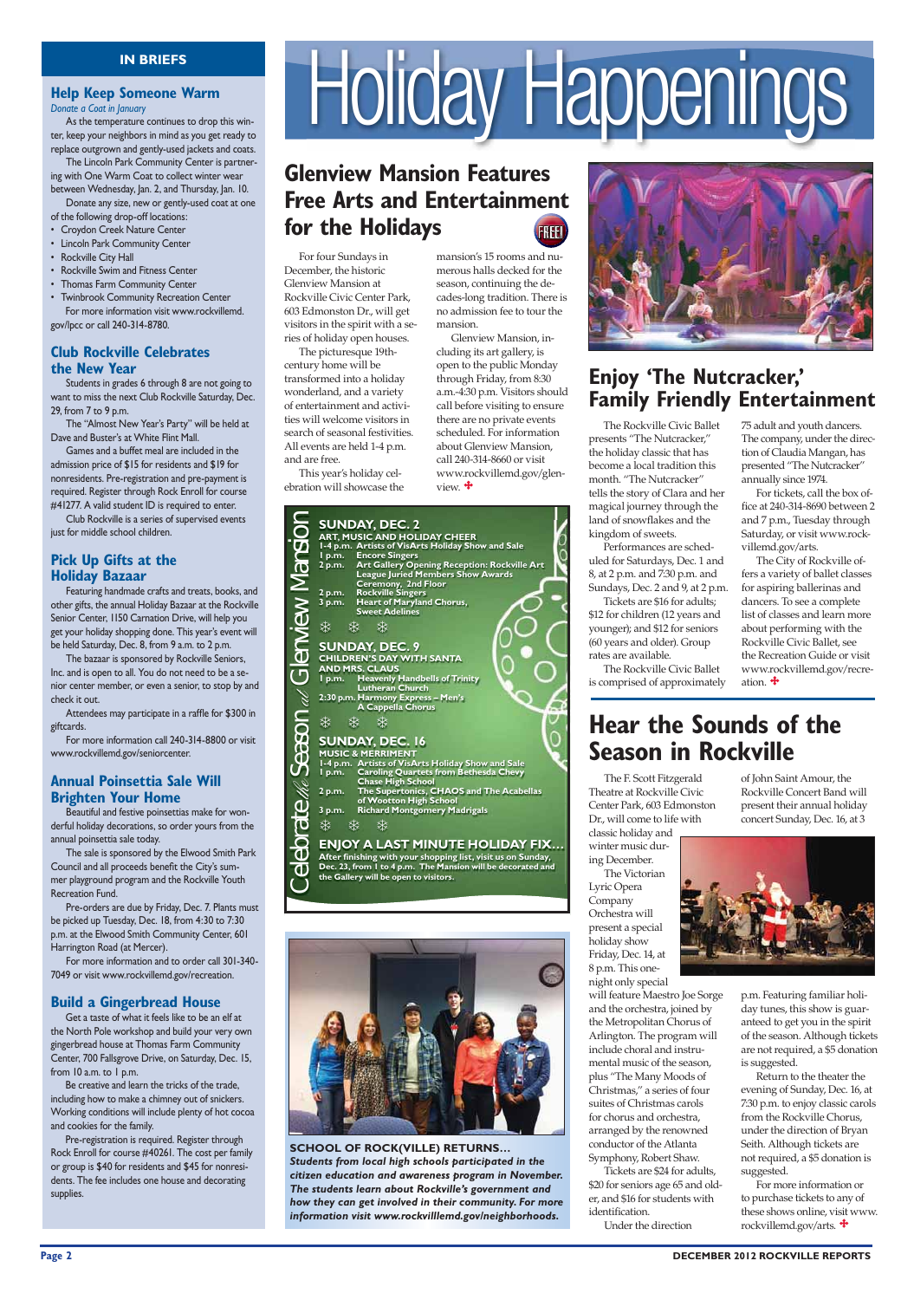### FREE! **Glenview Mansion Features Free Arts and Entertainment for the Holidays**

For four Sundays in December, the historic Glenview Mansion at Rockville Civic Center Park, 603 Edmonston Dr., will get visitors in the spirit with a series of holiday open houses.

The picturesque 19thcentury home will be transformed into a holiday wonderland, and a variety of entertainment and activities will welcome visitors in search of seasonal festivities. All events are held 1-4 p.m. and are free.

This year's holiday celebration will showcase the

> The F. Scott Fitzgerald Theatre at Rockville Civic Center Park, 603 Edmonston Dr., will come to life with

#### **Help Keep Someone Warm** *Donate a Coat in January*

classic holiday and winter music during December. The Victorian Lyric Opera Company Orchestra will present a special holiday show Friday, Dec. 14, at 8 p.m. This onenight only special

will feature Maestro Joe Sorge and the orchestra, joined by the Metropolitan Chorus of Arlington. The program will include choral and instrumental music of the season, plus "The Many Moods of Christmas," a series of four suites of Christmas carols for chorus and orchestra, arranged by the renowned conductor of the Atlanta Symphony, Robert Shaw. Tickets are \$24 for adults, \$20 for seniors age 65 and older, and \$16 for students with identification.

 Games and a buffet meal are included in the admission price of \$15 for residents and \$19 for nonresidents. Pre-registration and pre-payment is required. Register through Rock Enroll for course #41277. A valid student ID is required to enter.

Club Rockville is a series of supervised events just for middle school children.

#### **Pick Up Gifts at the Holiday Bazaar**

 Featuring handmade crafts and treats, books, and other gifts, the annual Holiday Bazaar at the Rockville Senior Center, 1150 Carnation Drive, will help you get your holiday shopping done. This year's event will be held Saturday, Dec. 8, from 9 a.m. to 2 p.m.

Under the direction

 As the temperature continues to drop this winter, keep your neighbors in mind as you get ready to replace outgrown and gently-used jackets and coats.

The bazaar is sponsored by Rockville Seniors, Inc. and is open to all. You do not need to be a senior center member, or even a senior, to stop by and check it out.

Attendees may participate in a raffle for \$300 in giftcards.

For more information call 240-314-8800 or visit www.rockvillemd.gov/seniorcenter.

#### **Annual Poinsettia Sale Will Brighten Your Home**

 The Lincoln Park Community Center is partnering with One Warm Coat to collect winter wear between Wednesday, Jan. 2, and Thursday, Jan. 10.

Beautiful and festive poinsettias make for wonderful holiday decorations, so order yours from the annual poinsettia sale today.

The sale is sponsored by the Elwood Smith Park Council and all proceeds benefit the City's summer playground program and the Rockville Youth Recreation Fund.

Pre-orders are due by Friday, Dec. 7. Plants must be picked up Tuesday, Dec. 18, from 4:30 to 7:30 p.m. at the Elwood Smith Community Center, 601 Harrington Road (at Mercer).

For more information and to order call 301-340-7049 or visit www.rockvillemd.gov/recreation.

### **Build a Gingerbread House**

# **IN BRIEFS**<br>Someone Warm<br>*Indians* to drop this win-<br>indians in mind as you get ready to

 Donate any size, new or gently-used coat at one of the following drop-off locations:

• Croydon Creek Nature Center

- Lincoln Park Community Center
- Rockville City Hall
- Rockville Swim and Fitness Center
- Thomas Farm Community Center
- Twinbrook Community Recreation Center For more information visit www.rockvillemd.

gov/lpcc or call 240-314-8780.

#### **Club Rockville Celebrates the New Year**

Students in grades 6 through 8 are not going to want to miss the next Club Rockville Saturday, Dec. 29, from 7 to 9 p.m.

The "Almost New Year's Party" will be held at Dave and Buster's at White Flint Mall.

Get a taste of what it feels like to be an elf at the North Pole workshop and build your very own gingerbread house at Thomas Farm Community Center, 700 Fallsgrove Drive, on Saturday, Dec. 15, from 10 a.m. to 1 p.m.

Be creative and learn the tricks of the trade, including how to make a chimney out of snickers. Working conditions will include plenty of hot cocoa and cookies for the family.

Pre-registration is required. Register through Rock Enroll for course #40261. The cost per family or group is \$40 for residents and \$45 for nonresidents. The fee includes one house and decorating supplies.

**SCHOOL OF ROCK(VILLE) RETURNS...** 

The City of Rockville offers a variety of ballet classes for aspiring ballerinas and dancers. To see a complete list of classes and learn more about performing with the Rockville Civic Ballet, see the Recreation Guide or visit www.rockvillemd.gov/recreation.  $\mathbf{\ddot{+}}$ 

## **Hear the Sounds of the Season in Rockville**

The Rockville Civic Ballet presents "The Nutcracker," the holiday classic that has become a local tradition this month. "The Nutcracker" tells the story of Clara and her magical journey through the land of snowflakes and the kingdom of sweets.

Performances are scheduled for Saturdays, Dec. 1 and 8, at 2 p.m. and 7:30 p.m. and Sundays, Dec. 2 and 9, at 2 p.m.

Tickets are \$16 for adults; \$12 for children (12 years and younger); and \$12 for seniors (60 years and older). Group rates are available.

The Rockville Civic Ballet is comprised of approximately 75 adult and youth dancers. The company, under the direction of Claudia Mangan, has presented "The Nutcracker" annually since 1974.

For tickets, call the box office at 240-314-8690 between 2 and 7 p.m., Tuesday through Saturday, or visit www.rockvillemd.gov/arts.

mansion's 15 rooms and numerous halls decked for the season, continuing the decades-long tradition. There is no admission fee to tour the mansion.

Glenview Mansion, including its art gallery, is open to the public Monday through Friday, from 8:30 a.m.-4:30 p.m. Visitors should call before visiting to ensure there are no private events scheduled. For information about Glenview Mansion, call 240-314-8660 or visit www.rockvillemd.gov/glen-

view.  $\ddot{\mathbf{\cdot}}$ 

of John Saint Amour, the Rockville Concert Band will present their annual holiday concert Sunday, Dec. 16, at 3



p.m. Featuring familiar holiday tunes, this show is guar-

anteed to get you in the spirit of the season. Although tickets are not required, a \$5 donation is suggested.

 Return to the theater the evening of Sunday, Dec. 16, at 7:30 p.m. to enjoy classic carols from the Rockville Chorus, under the direction of Bryan Seith. Although tickets are not required, a \$5 donation is suggested.

 For more information or to purchase tickets to any of these shows online, visit www. rockvillemd.gov/arts.



 $\bigcirc$ **After finishing with your shopping list, visit us on Sunday,** Dec. 23, from 1 to 4 p.m. The Mansion will be decorated and  $\bigcirc$ **the Gallery will be open to visitors.** 





## **Enjoy 'The Nutcracker,' Family Friendly Entertainment**

*Students from local high schools participated in the citizen education and awareness program in November. The students learn about Rockville's government and how they can get involved in their community. For more information visit www.rockvilllemd.gov/neighborhoods.*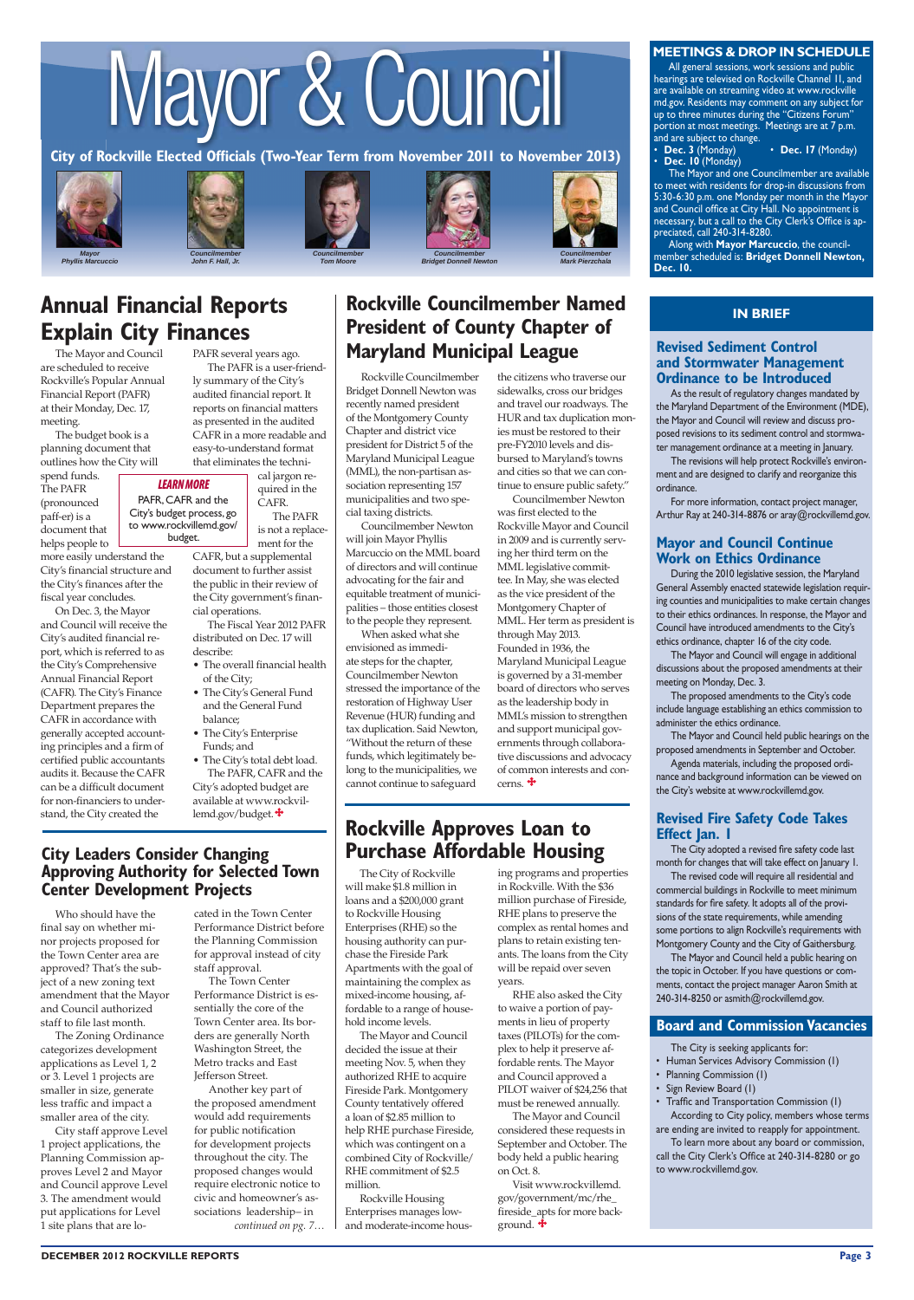# Mayor & Council

City of Rockville Elected Officials (Two-Year Term from November 2011 to November 2013)



*Phyllis Marcuccio*











*Councilmember Bridget Donnell Newton* 

All general sessions, work sessions and public hearings are televised on Rockville Channel 11, and are available on streaming video at www.rockville md.gov. Residents may comment on any subject for up to three minutes during the "Citizens Forum" portion at most meetings. Meetings are at 7 p.m.

and are subject to change.<br>• **Dec. 3** (Monday) • **Dec. 17** (Monday) Dec. 10 (Monday)

The Mayor and one Councilmember are available to meet with residents for drop-in discussions from 5:30-6:30 p.m. one Monday per month in the Mayor and Council office at City Hall. No appointment is mecessary, but a call to the City Clerk's Office is appreciated, call 240-314-8280.



*Mark Pierzchala*

## **Annual Financial Reports Explain City Finances**

Along with **Mayor Marcuccio**, the councilmember scheduled is: **Bridget Donnell Newton, Dec. 10.** 

#### **IN BRIEF**

#### **Revised Sediment Control And Stormwater Management Ordinance to be Introduced**

The Mayor and Council are scheduled to receive Rockville's Popular Annual Financial Report (PAFR) at their Monday, Dec. 17, meeting.

The budget book is a planning document that outlines how the City will

spend funds. The PAFR (pronounced paff-er) is a document that helps people to

- The overall financial health of the City;
- The City's General Fund and the General Fund balance;
- The City's Enterprise Funds; and
- $\bullet$  The City's total debt load. The PAFR, CAFR and the City's adopted budget are

available at www.rockvillemd.gov/budget.<sup>\*\*</sup>

### **City Leaders Consider Changing Approving Authority for Selected Town Center Development Projects**

more easily understand the City's financial structure and the City's finances after the fiscal year concludes.

On Dec. 3, the Mayor and Council will receive the City's audited financial report, which is referred to as the City's Comprehensive Annual Financial Report (CAFR). The City's Finance Department prepares the CAFR in accordance with generally accepted accounting principles and a firm of certified public accountants audits it. Because the CAFR can be a difficult document for non-financiers to understand, the City created the

> Visit www.rockvillemd. gov/government/mc/rhe\_ fireside\_apts for more background.  $\ddot{\bullet}$

#### **Board and Commission Vacancies**

PAFR several years ago. The PAFR is a user-friendly summary of the City's audited financial report. It reports on financial matters as presented in the audited CAFR in a more readable and easy-to-understand format that eliminates the techni-

cal jargon required in the CAFR. The PAFR is not a replace-

ment for the CAFR, but a supplemental document to further assist the public in their review of the City government's finan-

cial operations. The Fiscal Year 2012 PAFR distributed on Dec. 17 will describe:

*LEARN MORE* PAFR, CAFR and the City's budget process, go to www.rockvillemd.gov/ budget.

The revisions will help protect Rockville's environment and are designed to clarify and reorganize this ordinance.

For more information, contact project manager, Arthur Ray at 240-314-8876 or aray@rockvillemd.gov.

#### **Mayor and Council Continue Work on Ethics Ordinance**

The City of Rockville will make \$1.8 million in loans and a \$200,000 grant to Rockville Housing Enterprises (RHE) so the housing authority can purchase the Fireside Park Apartments with the goal of maintaining the complex as mixed-income housing, affordable to a range of household income levels. The Mayor and Council decided the issue at their meeting Nov. 5, when they authorized RHE to acquire Fireside Park. Montgomery County tentatively offered a loan of \$2.85 million to help RHE purchase Fireside, which was contingent on a combined City of Rockville/ RHE commitment of \$2.5 million.

During the 2010 legislative session, the Maryland General Assembly enacted statewide legislation requiring counties and municipalities to make certain changes to their ethics ordinances. In response, the Mayor and Council have introduced amendments to the City's ethics ordinance, chapter 16 of the city code.

The Mayor and Council will engage in additional discussions about the proposed amendments at their meeting on Monday, Dec. 3.

The proposed amendments to the City's code include language establishing an ethics commission to administer the ethics ordinance.

The Mayor and Council held public hearings on the proposed amendments in September and October.

Agenda materials, including the proposed ordinance and background information can be viewed on the City's website at www.rockvillemd.gov.

#### **Revised Fire Safety Code Takes Effect Jan. I**

Rockville Housing Enterprises manages lowand moderate-income hous-

The City adopted a revised fire safety code last month for changes that will take effect on January 1.

The revised code will require all residential and commercial buildings in Rockville to meet minimum standards for fire safety. It adopts all of the provisions of the state requirements, while amending some portions to align Rockville's requirements with Montgomery County and the City of Gaithersburg.

The Mayor and Council held a public hearing on the topic in October. If you have questions or comments, contact the project manager Aaron Smith at 240-314-8250 or asmith@rockvillemd.gov.

ing programs and properties in Rockville. With the \$36 million purchase of Fireside, RHE plans to preserve the complex as rental homes and plans to retain existing tenants. The loans from the City will be repaid over seven years.

RHE also asked the City to waive a portion of pay-

#### **MEETINGS & DROP IN SCHEDULE**

To learn more about any board or commission, call the City Clerk's Office at 240-314-8280 or go to www.rockvillemd.gov.

**\$ BECEMBER 2012 ROCKVILLE REPORTS** Page 3

ments in lieu of property taxes (PILOTs) for the complex to help it preserve affordable rents. The Mayor and Council approved a PILOT waiver of \$24,256 that must be renewed annually. The Mayor and Council considered these requests in September and October. The body held a public hearing on Oct. 8.

Who should have the final say on whether minor projects proposed for the Town Center area are approved? That's the subject of a new zoning text amendment that the Mayor and Council authorized

staff to file last month.

The Zoning Ordinance categorizes development applications as Level 1, 2 or 3. Level 1 projects are smaller in size, generate less traffic and impact a smaller area of the city.

Councilmember Newton was first elected to the Rockville Mayor and Council in 2009 and is currently serving her third term on the MML legislative committee. In May, she was elected as the vice president of the Montgomery Chapter of MML. Her term as president is through May 2013. Founded in 1936, the Maryland Municipal League is governed by a 31-member board of directors who serves as the leadership body in MML's mission to strengthen and support municipal governments through collaborative discussions and advocacy of common interests and concerns.  $\ddagger$ 

### **Rockville Approves Loan to Purchase Affordable Housing**

City staff approve Level 1 project applications, the Planning Commission approves Level 2 and Mayor and Council approve Level 3. The amendment would put applications for Level 1 site plans that are located in the Town Center Performance District before the Planning Commission for approval instead of city staff approval.

The Town Center Performance District is essentially the core of the

## **Rockville Councilmember Named President of County Chapter of Maryland Municipal League**

Town Center area. Its borders are generally North Washington Street, the Metro tracks and East Jefferson Street.

Another key part of the proposed amendment would add requirements for public notification for development projects throughout the city. The proposed changes would require electronic notice to civic and homeowner's associations leadership– in *continued on pg. 7…*

As the result of regulatory changes mandated by the Maryland Department of the Environment (MDE), the Mayor and Council will review and discuss proposed revisions to its sediment control and stormwater management ordinance at a meeting in January.

#### The City is seeking applicants for:

- Human Services Advisory Commission (1)
- Planning Commission (1)
- Sign Review Board (I)

• Traffic and Transportation Commission (1) According to City policy, members whose terms are ending are invited to reapply for appointment.

 Rockville Councilmember Bridget Donnell Newton was recently named president of the Montgomery County Chapter and district vice president for District 5 of the Maryland Municipal League (MML), the non-partisan association representing 157 municipalities and two special taxing districts.

 Councilmember Newton will join Mayor Phyllis Marcuccio on the MML board of directors and will continue advocating for the fair and equitable treatment of municipalities – those entities closest to the people they represent.

 When asked what she envisioned as immediate steps for the chapter, Councilmember Newton stressed the importance of the restoration of Highway User Revenue (HUR) funding and tax duplication. Said Newton, "Without the return of these funds, which legitimately belong to the municipalities, we cannot continue to safeguard

the citizens who traverse our sidewalks, cross our bridges and travel our roadways. The HUR and tax duplication monies must be restored to their pre-FY2010 levels and disbursed to Maryland's towns and cities so that we can continue to ensure public safety."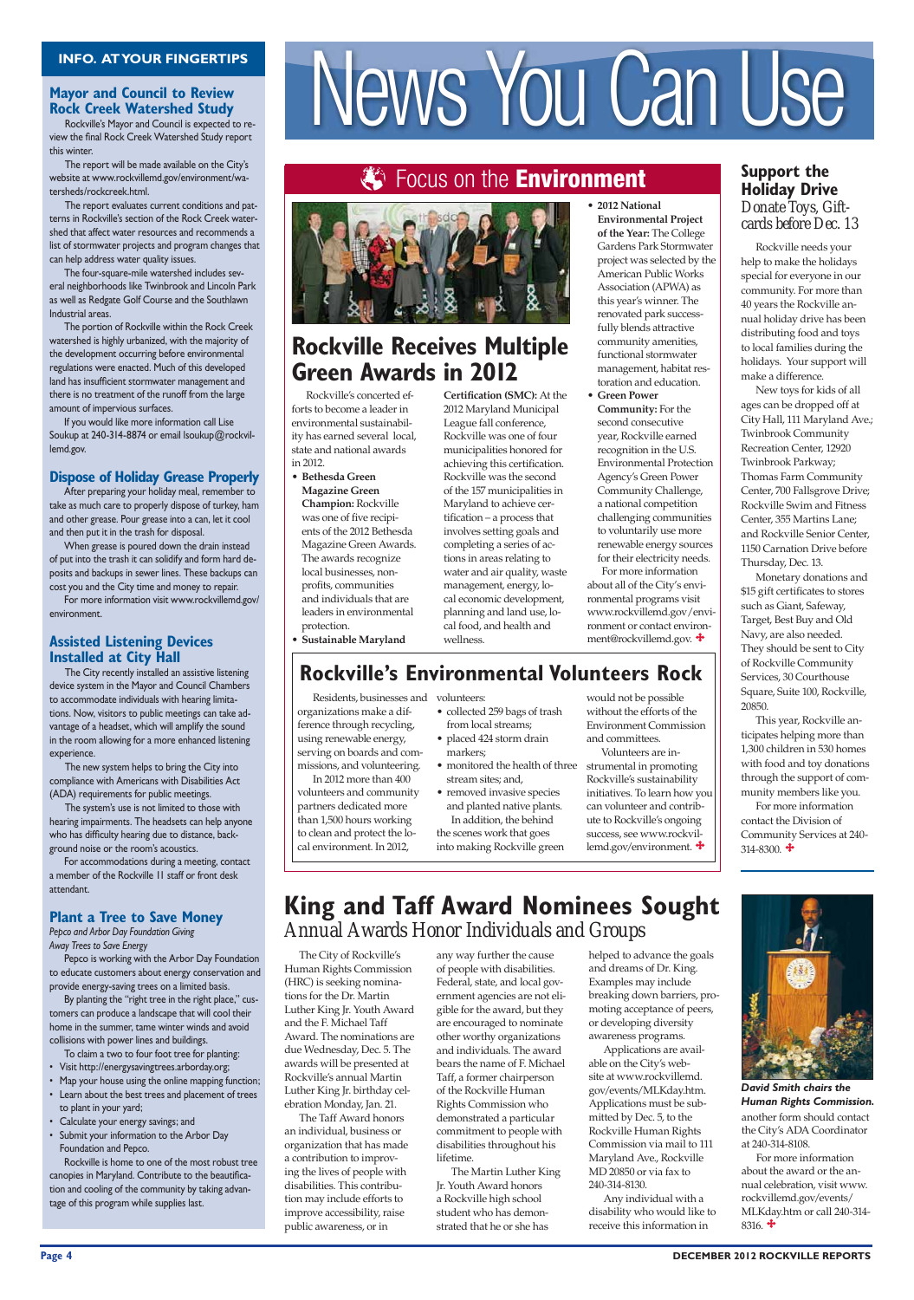#### **Mayor and Council to Review Rock Creek Watershed Study**

## 3 Focus on the **Environment**



## **Rockville Receives Multiple Green Awards in 2012**

Rockville's Mayor and Council is expected to review the final Rock Creek Watershed Study report this winter.

The report will be made available on the City's website at www.rockvillemd.gov/environment/watersheds/rockcreek.html.

The report evaluates current conditions and patterns in Rockville's section of the Rock Creek watershed that affect water resources and recommends a list of stormwater projects and program changes that can help address water quality issues.

The four-square-mile watershed includes several neighborhoods like Twinbrook and Lincoln Park as well as Redgate Golf Course and the Southlawn Industrial areas.

The portion of Rockville within the Rock Creek watershed is highly urbanized, with the majority of the development occurring before environmental regulations were enacted. Much of this developed land has insufficient stormwater management and there is no treatment of the runoff from the large amount of impervious surfaces.

If you would like more information call Lise Soukup at 240-314-8874 or email Isoukup@rockvillemd.gov.

#### **Dispose of Holiday Grease Properly**

The City recently installed an assistive listening device system in the Mayor and Council Chambers to accommodate individuals with hearing limitations. Now, visitors to public meetings can take advantage of a headset, which will amplify the sound in the room allowing for a more enhanced listening experience.

 The new system helps to bring the City into compliance with Americans with Disabilities Act (ADA) requirements for public meetings.

The system's use is not limited to those with hearing impairments. The headsets can help anyone who has difficulty hearing due to distance, background noise or the room's acoustics.

Pepco is working with the Arbor Day Foundation to educate customers about energy conservation and provide energy-saving trees on a limited basis.

After preparing your holiday meal, remember to take as much care to properly dispose of turkey, ham and other grease. Pour grease into a can, let it cool and then put it in the trash for disposal.

By planting the "right tree in the right place," cuscan produce a landscape that will cool their home in the summer, tame winter winds and avoid collisions with power lines and buildings.

# INFO. AT YOUR FINGERTIPS<br>Agyor and Council to Review<br>Rock Creek Watershed Study<br>Rockville's Mayor and Council is expected to re-

When grease is poured down the drain instead of put into the trash it can solidify and form hard deposits and backups in sewer lines. These backups can cost you and the City time and money to repair.

For more information visit www.rockvillemd.gov/ environment.

#### **Assisted Listening Devices Installed at City Hall**

- Visit http://energysavingtrees.arborday.org;
- Map your house using the online mapping function;
- Learn about the best trees and placement of trees to plant in your yard;
- Calculate your energy savings; and
- Submit your information to the Arbor Day Foundation and Pepco.

Rockville is home to one of the most robust tree canopies in Maryland. Contribute to the beautification and cooling of the community by taking advantage of this program while supplies last.

#### **Support the Holiday Drive** *Donate Toys, Giftcards before Dec. 13*

For accommodations during a meeting, contact a member of the Rockville II staff or front desk attendant.

#### **Plant a Tree to Save Money**

*Pepco and Arbor Day Foundation Giving Away Trees to Save Energy*

For more information contact the Division of Community Services at 240- 314-8300.  $\ddot{\bullet}$ 



To claim a two to four foot tree for planting:

**Certification (SMC):** At the 2012 Maryland Municipal League fall conference, Rockville was one of four municipalities honored for achieving this certification. Rockville was the second of the 157 municipalities in Maryland to achieve certification – a process that involves setting goals and completing a series of actions in areas relating to water and air quality, waste management, energy, local economic development, planning and land use, local food, and health and wellness.

# • 2012 National

**Environmental Project** of the Year: The College Gardens Park Stormwater project was selected by the American Public Works Association (APWA) as this year's winner. The renovated park successfully blends attractive community amenities, functional stormwater management, habitat restoration and education.

**• Green Power Community:** For the second consecutive year, Rockville earned recognition in the U.S. Environmental Protection Agency's Green Power Community Challenge, a national competition challenging communities to voluntarily use more renewable energy sources for their electricity needs. For more information

about all of the City's environmental programs visit www.rockvillemd.gov/environment or contact environment@rockvillemd.gov.  $\ddot{\bullet}$ 

# **Rockville's Environmental Volunteers Rock**

The City of Rockville's Human Rights Commission (HRC) is seeking nominations for the Dr. Martin Luther King Jr. Youth Award and the F. Michael Taff Award. The nominations are due Wednesday, Dec. 5. The awards will be presented at Rockville's annual Martin Luther King Jr. birthday celebration Monday, Jan. 21. The Taff Award honors an individual, business or organization that has made a contribution to improving the lives of people with disabilities. This contribution may include efforts to improve accessibility, raise public awareness, or in

# **King and Taff Award Nominees Sought** *Annual Awards Honor Individuals and Groups*

Rockville's concerted efforts to become a leader in environmental sustainability has earned several local, state and national awards in 2012.

**• Bethesda Green Magazine Green Champion: Rockville** 

was one of five recipients of the 2012 Bethesda Magazine Green Awards. The awards recognize local businesses, nonprofits, communities and individuals that are leaders in environmental protection.

**• Sustainable Maryland** 

For more information about the award or the annual celebration, visit www. rockvillemd.gov/events/ MLKday.htm or call 240-314- 8316.  $\ddagger$ 

#### **Page 4 DECEMBER 2012 ROCKVILLE REPORTS**

Rockville needs your help to make the holidays special for everyone in our community. For more than 40 years the Rockville annual holiday drive has been distributing food and toys to local families during the holidays. Your support will make a difference.

New toys for kids of all ages can be dropped off at City Hall, 111 Maryland Ave.; Twinbrook Community Recreation Center, 12920 Twinbrook Parkway; Thomas Farm Community Center, 700 Fallsgrove Drive; Rockville Swim and Fitness Center, 355 Martins Lane; and Rockville Senior Center, 1150 Carnation Drive before Thursday, Dec. 13.

Monetary donations and \$15 gift certificates to stores such as Giant, Safeway, Target, Best Buy and Old Navy, are also needed. They should be sent to City of Rockville Community Services, 30 Courthouse Square, Suite 100, Rockville, 20850.

This year, Rockville anticipates helping more than 1,300 children in 530 homes with food and toy donations through the support of community members like you.

Residents, businesses and volunteers:

In 2012 more than 400

- organizations make a difference through recycling, using renewable energy, serving on boards and commissions, and volunteering. • collected 259 bags of trash from local streams; • placed 424 storm drain markers;
	- monitored the health of three stream sites; and,

volunteers and community partners dedicated more than 1,500 hours working to clean and protect the local environment. In 2012, • removed invasive species into making Rockville green

and planted native plants. In addition, the behind the scenes work that goes

would not be possible without the efforts of the Environment Commission and committees.

Volunteers are instrumental in promoting Rockville's sustainability initiatives. To learn how you can volunteer and contribute to Rockville's ongoing success, see www.rockvillemd.gov/environment.

any way further the cause of people with disabilities. Federal, state, and local government agencies are not eligible for the award, but they are encouraged to nominate other worthy organizations and individuals. The award bears the name of F. Michael Taff, a former chairperson of the Rockville Human Rights Commission who demonstrated a particular commitment to people with disabilities throughout his lifetime. The Martin Luther King Jr. Youth Award honors a Rockville high school student who has demonstrated that he or she has

helped to advance the goals and dreams of Dr. King. Examples may include breaking down barriers, promoting acceptance of peers, or developing diversity awareness programs. Applications are available on the City's website at www.rockvillemd. gov/events/MLKday.htm. Applications must be submitted by Dec. 5, to the Rockville Human Rights Commission via mail to 111 Maryland Ave., Rockville MD 20850 or via fax to 240-314-8130.

Any individual with a disability who would like to receive this information in

another form should contact the City's ADA Coordinator at 240-314-8108.

#### *David Smith chairs the Human Rights Commission.*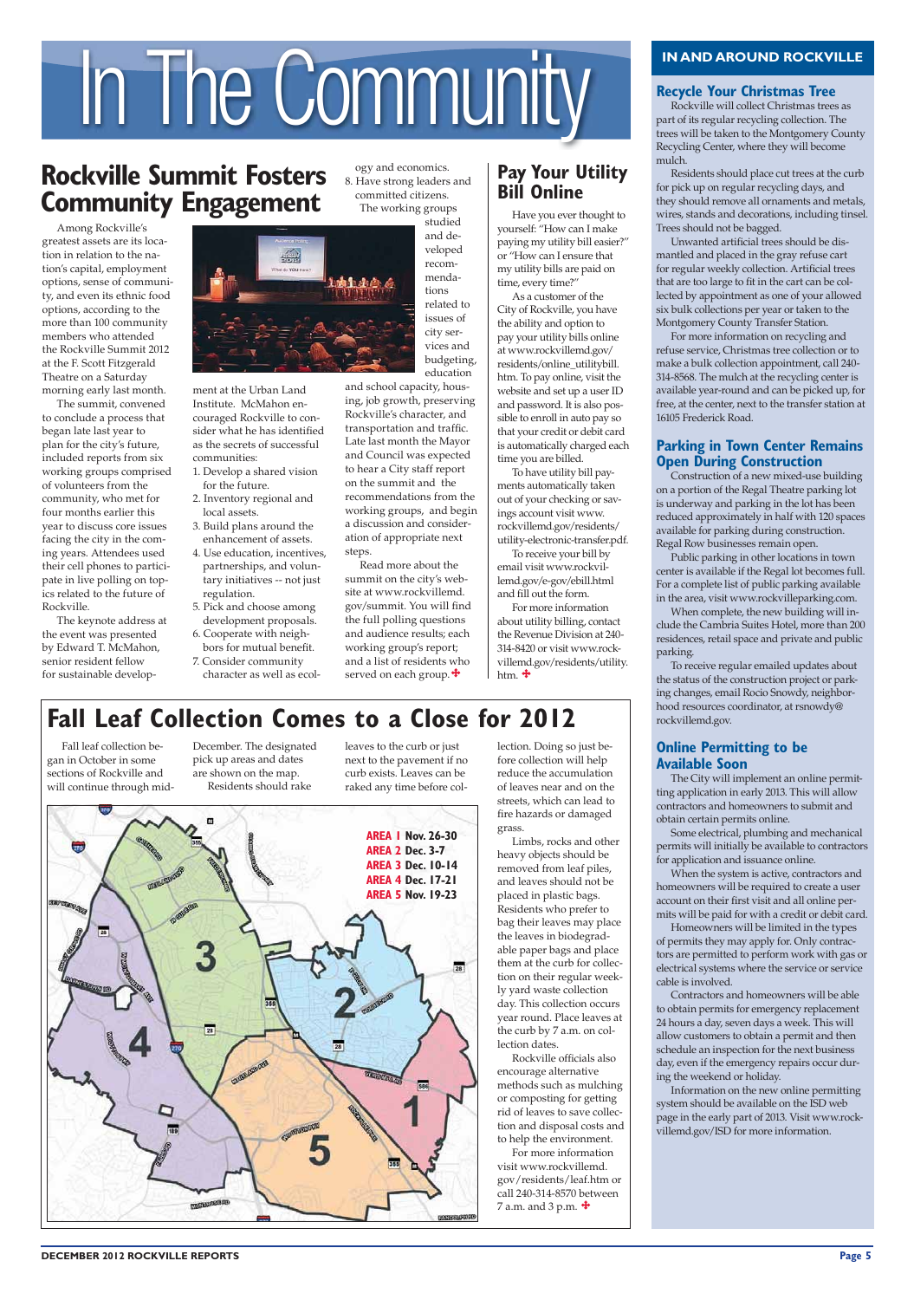# **).!.\$!2/5.\$2/#+6),,%** In The Community

# **Rockville Summit Fosters Community Engagement**



Fall leaf collection began in October in some sections of Rockville and will continue through mid-

> Limbs, rocks and other heavy objects should be removed from leaf piles, and leaves should not be placed in plastic bags. Residents who prefer to bag their leaves may place the leaves in biodegradable paper bags and place them at the curb for collection on their regular weekly yard waste collection day. This collection occurs year round. Place leaves at the curb by 7 a.m. on collection dates. Rockville officials also encourage alternative methods such as mulching or composting for getting rid of leaves to save collection and disposal costs and to help the environment. For more information visit www.rockvillemd. gov/residents/leaf.htm or call 240-314-8570 between 7 a.m. and 3 p.m.  $\mathbf{\ddagger}$

#### **Recycle Your Christmas Tree**

December. The designated pick up areas and dates are shown on the map. Residents should rake

leaves to the curb or just next to the pavement if no curb exists. Leaves can be raked any time before collection. Doing so just before collection will help reduce the accumulation of leaves near and on the streets, which can lead to fire hazards or damaged grass.

Among Rockville's greatest assets are its location in relation to the nation's capital, employment options, sense of community, and even its ethnic food options, according to the more than 100 community members who attended the Rockville Summit 2012 at the F. Scott Fitzgerald Theatre on a Saturday morning early last month.

The summit, convened to conclude a process that began late last year to plan for the city's future, included reports from six working groups comprised of volunteers from the community, who met for four months earlier this year to discuss core issues facing the city in the coming years. Attendees used their cell phones to participate in live polling on topics related to the future of Rockville.

The keynote address at the event was presented by Edward T. McMahon, senior resident fellow for sustainable develop-



Rockville will collect Christmas trees as part of its regular recycling collection. The trees will be taken to the Montgomery County Recycling Center, where they will become mulch.

Residents should place cut trees at the curb for pick up on regular recycling days, and they should remove all ornaments and metals, wires, stands and decorations, including tinsel. Trees should not be bagged.

Unwanted artificial trees should be dismantled and placed in the gray refuse cart for regular weekly collection. Artificial trees that are too large to fit in the cart can be collected by appointment as one of your allowed six bulk collections per year or taken to the Montgomery County Transfer Station.

For more information on recycling and refuse service, Christmas tree collection or to make a bulk collection appointment, call 240- 314-8568. The mulch at the recycling center is available year-round and can be picked up, for free, at the center, next to the transfer station at 16105 Frederick Road.

#### **Parking in Town Center Remains Open During Construction**

For more information about utility billing, contact the Revenue Division at 240- 314-8420 or visit www.rockvillemd.gov/residents/utility. htm.  $\mathbf{\ddot{+}}$ 

# **Fall Leaf Collection Comes to a Close for 2012**

Construction of a new mixed-use building on a portion of the Regal Theatre parking lot is underway and parking in the lot has been reduced approximately in half with 120 spaces available for parking during construction. Regal Row businesses remain open.

Read more about the summit on the city's website at www.rockvillemd. gov/summit. You will find the full polling questions and audience results; each working group's report; and a list of residents who served on each group.  $\clubsuit$ 

### **Pay Your Utility Bill Online**

Public parking in other locations in town center is available if the Regal lot becomes full. For a complete list of public parking available in the area, visit www.rockvilleparking.com.

When complete, the new building will include the Cambria Suites Hotel, more than 200 residences, retail space and private and public parking.

To receive regular emailed updates about the status of the construction project or parking changes, email Rocio Snowdy, neighborhood resources coordinator, at rsnowdy@ rockvillemd.gov.

#### **Online Permitting to be Available Soon**

The City will implement an online permitting application in early 2013. This will allow contractors and homeowners to submit and obtain certain permits online.

Some electrical, plumbing and mechanical permits will initially be available to contractors for application and issuance online.

When the system is active, contractors and homeowners will be required to create a user account on their first visit and all online permits will be paid for with a credit or debit card.

Homeowners will be limited in the types of permits they may apply for. Only contractors are permitted to perform work with gas or electrical systems where the service or service cable is involved.

Contractors and homeowners will be able to obtain permits for emergency replacement 24 hours a day, seven days a week. This will allow customers to obtain a permit and then schedule an inspection for the next business day, even if the emergency repairs occur during the weekend or holiday. Information on the new online permitting system should be available on the ISD web page in the early part of 2013. Visit www.rockvillemd.gov/ISD for more information.

#### **DECEMBER 2012 ROCKVILLE REPORTS**

ment at the Urban Land Institute. McMahon encouraged Rockville to consider what he has identified as the secrets of successful communities:

- 1. Develop a shared vision for the future.
- 2. Inventory regional and local assets.
- 3. Build plans around the enhancement of assets.
- 4. Use education, incentives, partnerships, and voluntary initiatives -- not just regulation.
- 5. Pick and choose among development proposals.
- 6. Cooperate with neighbors for mutual benefit. 7. Consider community
- character as well as ecol-

Have you ever thought to yourself: "How can I make paying my utility bill easier?" or "How can I ensure that my utility bills are paid on time, every time?"

As a customer of the City of Rockville, you have the ability and option to pay your utility bills online at www.rockvillemd.gov/ residents/online\_utilitybill. htm. To pay online, visit the website and set up a user ID and password. It is also possible to enroll in auto pay so that your credit or debit card is automatically charged each time you are billed.

To have utility bill payments automatically taken out of your checking or savings account visit www. rockvillemd.gov/residents/ utility-electronic-transfer.pdf.

To receive your bill by email visit www.rockvillemd.gov/e-gov/ebill.html and fill out the form.

ogy and economics. 8. Have strong leaders and committed citizens. The working groups

> studied and developed recommendations related to issues of city services and budgeting, education

and school capacity, housing, job growth, preserving Rockville's character, and transportation and traffic. Late last month the Mayor and Council was expected to hear a City staff report on the summit and the recommendations from the working groups, and begin a discussion and consideration of appropriate next steps.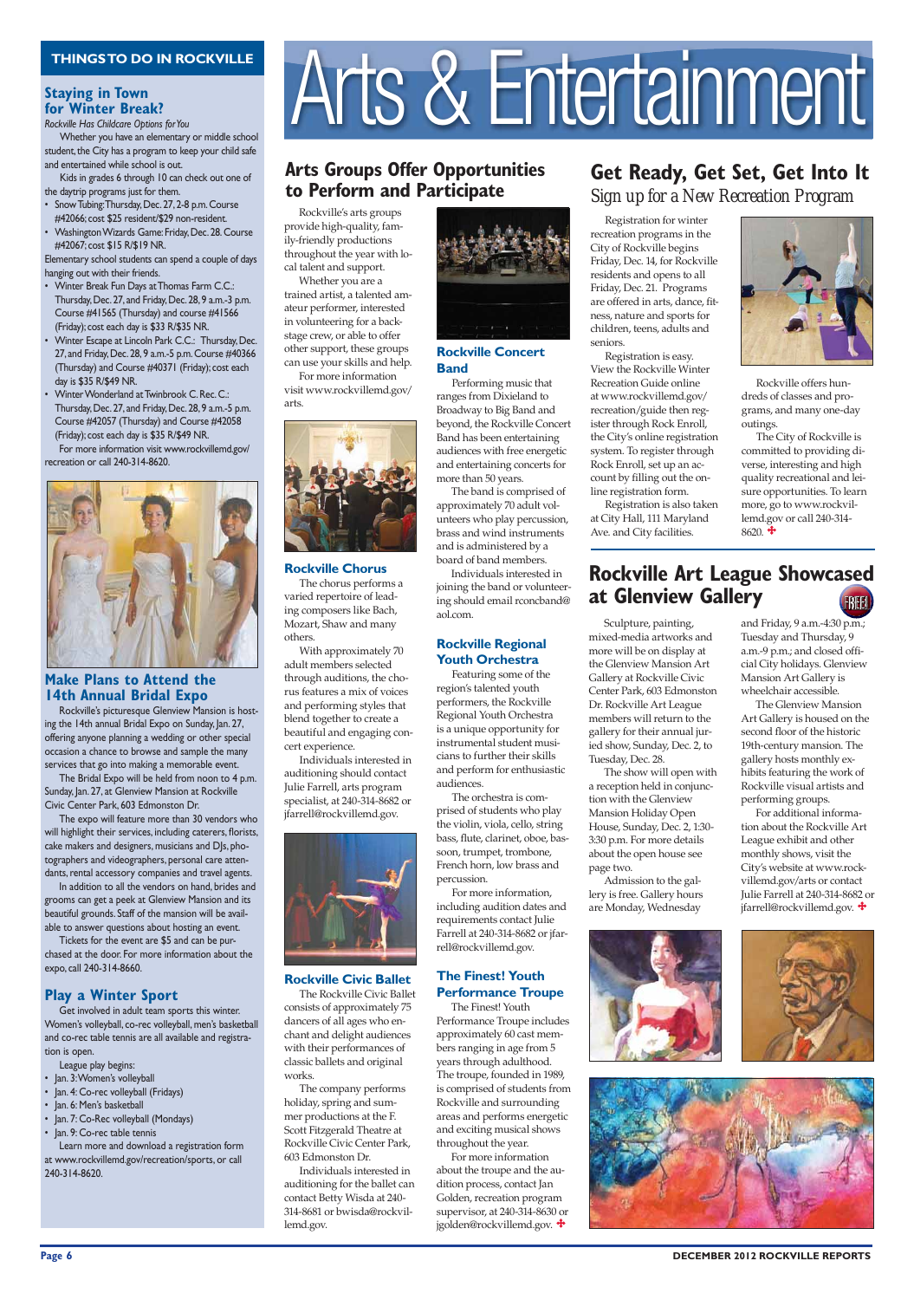#### **Staying in Town for Winter Break?**

 Sculpture, painting, mixed-media artworks and more will be on display at the Glenview Mansion Art Gallery at Rockville Civic Center Park, 603 Edmonston Dr. Rockville Art League members will return to the gallery for their annual juried show, Sunday, Dec. 2, to Tuesday, Dec. 28.

Whether you have an elementary or middle school student, the City has a program to keep your child safe and entertained while school is out.

> The show will open with a reception held in conjunction with the Glenview Mansion Holiday Open House, Sunday, Dec. 2, 1:30- 3:30 p.m. For more details about the open house see page two.

Elementary school students can spend a couple of days hanging out with their friends.

- Winter Break Fun Days at Thomas Farm C.C.: Thursday, Dec. 27, and Friday, Dec. 28, 9 a.m.-3 p.m. Course #41565 (Thursday) and course #41566 (Friday); cost each day is \$33 R/\$35 NR.
- Winter Escape at Lincoln Park C.C.: Thursday, Dec. 27, and Friday, Dec. 28, 9 a.m.-5 p.m. Course #40366 (Thursday) and Course #40371 (Friday); cost each day is \$35 R/\$49 NR.
- Winter Wonderland at Twinbrook C. Rec. C.: Thursday, Dec. 27, and Friday, Dec. 28, 9 a.m.-5 p.m. Course #42057 (Thursday) and Course #42058 (Friday); cost each day is \$35 R/\$49 NR.

For more information visit www.rockvillemd.gov/ recreation or call 240-314-8620.



#### **Make Plans to Attend the 14th Annual Bridal Expo**

Rockville's picturesque Glenview Mansion is hosting the 14th annual Bridal Expo on Sunday, Jan. 27, offering anyone planning a wedding or other special occasion a chance to browse and sample the many services that go into making a memorable event.

The Bridal Expo will be held from noon to 4 p.m. Sunday, Jan. 27, at Glenview Mansion at Rockville Civic Center Park, 603 Edmonston Dr.

The expo will feature more than 30 vendors who will highlight their services, including caterers, florists, cake makers and designers, musicians and DJs, photographers and videographers, personal care attendants, rental accessory companies and travel agents.

In addition to all the vendors on hand, brides and grooms can get a peek at Glenview Mansion and its beautiful grounds. Staff of the mansion will be available to answer questions about hosting an event.

Tickets for the event are \$5 and can be purchased at the door. For more information about the expo, call 240-314-8660.

#### **Play a Winter Sport**

Get involved in adult team sports this winter.

 Admission to the gallery is free. Gallery hours are Monday, Wednesday

# THINGSTO DO IN ROCKVILLE <br>Criving in Town<br>Or Winter Break?<br>Ockville Has Childcare Options for You



### **Arts Groups Offer Opportunities** to Perform and Participate

*Rockville Has Childcare Options for You*

Kids in grades 6 through 10 can check out one of the daytrip programs just for them.

- Snow Tubing: Thursday, Dec. 27, 2-8 p.m. Course #42066; cost \$25 resident/\$29 non-resident.
- Washington Wizards Game: Friday, Dec. 28. Course #42067; cost \$15 R/\$19 NR.

Women's volleyball, co-rec volleyball, men's basketball and co-rec table tennis are all available and registration is open.

Learn more and download a registration form at www.rockvillemd.gov/recreation/sports, or call 240-314-8620.

**Rockville Civic Ballet**  The Rockville Civic Ballet consists of approximately 75



#### **Rockville Concert Band**

#### **Rockville Regional Youth Orchestra**

League play begins:

- Jan. 3: Women's volleyball
- Jan. 4: Co-rec volleyball (Fridays)
- Jan. 6: Men's basketball
- Jan. 7: Co-Rec volleyball (Mondays)
- Jan. 9: Co-rec table tennis

#### **The Finest! Youth Performance Troupe**

Registration for winter recreation programs in the City of Rockville begins Friday, Dec. 14, for Rockville residents and opens to all Friday, Dec. 21. Programs are offered in arts, dance, fitness, nature and sports for children, teens, adults and seniors.

> The City of Rockville is committed to providing diverse, interesting and high quality recreational and leisure opportunities. To learn more, go to www.rockvillemd.gov or call 240-314-  $8620.$   $\ddot{\bullet}$

Registration is easy. View the Rockville Winter Recreation Guide online at www.rockvillemd.gov/ recreation/guide then register through Rock Enroll, the City's online registration system. To register through Rock Enroll, set up an account by filling out the online registration form.

Registration is also taken at City Hall, 111 Maryland Ave. and City facilities.

#### **Rockville Art League Showcased At Glenview Gallery** FREE!

Rockville's arts groups provide high-quality, family-friendly productions throughout the year with local talent and support.

Whether you are a trained artist, a talented amateur performer, interested in volunteering for a backstage crew, or able to offer other support, these groups can use your skills and help.

For more information visit www.rockvillemd.gov/ arts.



**Rockville Chorus** 

 The chorus performs a varied repertoire of leading composers like Bach, Mozart, Shaw and many others.

 With approximately 70 adult members selected through auditions, the chorus features a mix of voices and performing styles that blend together to create a beautiful and engaging concert experience.

 Individuals interested in auditioning should contact Julie Farrell, arts program specialist, at 240-314-8682 or jfarrell@rockvillemd.gov.



dancers of all ages who enchant and delight audiences with their performances of classic ballets and original works.

 The company performs holiday, spring and summer productions at the F. Scott Fitzgerald Theatre at Rockville Civic Center Park, 603 Edmonston Dr. Individuals interested in

auditioning for the ballet can contact Betty Wisda at 240- 314-8681 or bwisda@rockvillemd.gov.

 Performing music that ranges from Dixieland to Broadway to Big Band and beyond, the Rockville Concert Band has been entertaining audiences with free energetic more than 50 years.

# and entertaining concerts for The band is comprised of

approximately 70 adult volunteers who play percussion, brass and wind instruments and is administered by a board of band members.

Individuals interested in joining the band or volunteering should email rconcband@ aol.com.

 Featuring some of the region's talented youth performers, the Rockville Regional Youth Orchestra is a unique opportunity for instrumental student musicians to further their skills and perform for enthusiastic audiences.

 The orchestra is comprised of students who play the violin, viola, cello, string bass, flute, clarinet, oboe, bassoon, trumpet, trombone, French horn, low brass and percussion.

 For more information, including audition dates and requirements contact Julie Farrell at 240-314-8682 or jfarrell@rockvillemd.gov.

The Finest! Youth

# **Get Ready, Get Set, Get Into It**

Performance Troupe includes approximately 60 cast members ranging in age from 5 years through adulthood. The troupe, founded in 1989, is comprised of students from Rockville and surrounding areas and performs energetic and exciting musical shows throughout the year. For more information about the troupe and the audition process, contact Jan Golden, recreation program

supervisor, at 240-314-8630 or jgolden@rockvillemd.gov.



#### **Page 6 DECEMBER 2012 ROCKVILLE REPORTS**

*Sign up for a New Recreation Program*

Rockville offers hundreds of classes and programs, and many one-day outings.

and Friday, 9 a.m.-4:30 p.m.; Tuesday and Thursday, 9 a.m.-9 p.m.; and closed official City holidays. Glenview Mansion Art Gallery is wheelchair accessible.

The Glenview Mansion Art Gallery is housed on the second floor of the historic 19th-century mansion. The gallery hosts monthly exhibits featuring the work of Rockville visual artists and performing groups.

For additional information about the Rockville Art League exhibit and other monthly shows, visit the City's website at www.rockvillemd.gov/arts or contact Julie Farrell at 240-314-8682 or jfarrell@rockvillemd.gov.

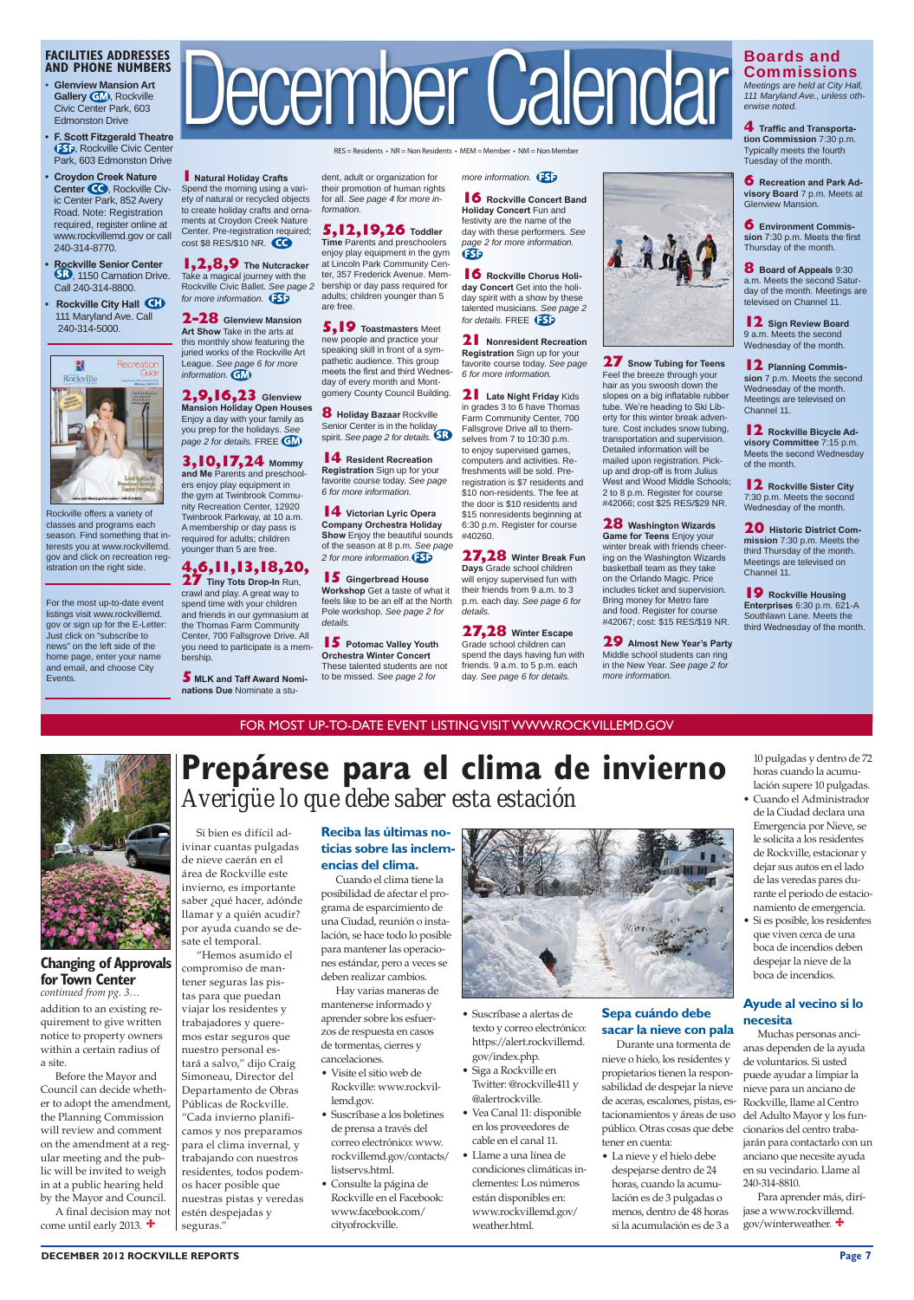For the most up-to-date event listings visit www.rockvillemd. gov or sign up for the E-Letter: Just click on "subscribe to news" on the left side of the home page, enter your name and email, and choose City Events.

#### **FACILITIES ADDRESSES AND PHONE NUMBERS**

- **s Glenview Mansion Art Gallery GM**, Rockville Civic Center Park, 603 Edmonston Drive
- **F. Scott Fitzgerald Theatre 150**, Rockville Civic Center Park, 603 Edmonston Drive

- **Croydon Creek Nature Center CO**, Rockville Civic Center Park, 852 Avery Road. Note: Registration required, register online at www.rockvillemd.gov or call 240-314-8770.
- **Rockville Senior Center** , 1150 Carnation Drive. Call 240-314-8800.
- **Rockville City Hall**  111 Maryland Ave. Call 240-314-5000.



**1** Natural Holiday Crafts Spend the morning using a variety of natural or recycled objects to create holiday crafts and ornaments at Croydon Creek Nature Center. Pre-registration required; cost \$8 RES/\$10 NR.

**1,2,8,9** The Nutcracker<br>Take a magical journey with the Rockville Civic Ballet. *See page 2 for more information.* 

# December Calendar

 $RES = Residents$  •  $NR = Non Residents$  •  $MEM = Member$  •  $NM = Non Member$ 

2,9,16,23 Glenview<br>Mansion Holiday Open Houses Enjoy a day with your family as you prep for the holidays. *See page 2 for details.* FREE **GM 3,10,17,24 Mommy**  and Me Parents and preschoolers enjoy play equipment in the gym at Twinbrook Community Recreation Center, 12920 Twinbrook Parkway, at 10 a.m. A membership or day pass is required for adults; children younger than 5 are free.

Rockville offers a variety of classes and programs each season. Find something that interests you at www.rockvillemd. gov and click on recreation registration on the right side.

**5,12,19,26** Toddler<br>Time Parents and preschoolers enjoy play equipment in the gym at Lincoln Park Community Center, 357 Frederick Avenue. Membership or day pass required for adults; children younger than 5 are free.

Senior Center is in the holiday spirit. *See page 2 for details.*

**2-28 Glenview Mansion Art Show Take in the arts at** this monthly show featuring the juried works of the Rockville Art League. *See page 6 for more* 

> **14** Resident Recreation **Registration** Sign up for your favorite course today. *See page 6 for more information.*

**14** Victorian Lyric Opera **Show** Enjoy the beautiful sounds

**Company Orchestra Holiday** of the season at 8 p.m. *See page 2 for more information.*

*information.*

**15** Gingerbread House Workshop Get a taste of what it feels like to be an elf at the North Pole workshop. *See page 2 for details.*

**15** Potomac Valley Youth These talented students are not

**2DFChestra Winter Concert** to be missed. *See page 2 for* 

**16** Rockville Chorus Holiday Concert Get into the holiday spirit with a show by these talented musicians. *See page 2 for details.* FREE

**21** Nonresident Recreation **Registration** Sign up for your favorite course today. *See page 6 for more information.*

**4,6,11,13,18,20, 27** Tiny Tots Drop-In Run, crawl and play. A great way to spend time with your children and friends in our gymnasium at the Thomas Farm Community Center, 700 Fallsgrove Drive. All you need to participate is a mem-

**5** MLK and Taff Award Nominations Due Nominate a stu-

**21** Late Night Friday Kids in grades 3 to 6 have Thomas Farm Community Center, 700 Fallsgrove Drive all to themselves from 7 to 10:30 p.m. to enjoy supervised games, computers and activities. Refreshments will be sold. Preregistration is \$7 residents and \$10 non-residents. The fee at the door is \$10 residents and \$15 nonresidents beginning at 6:30 p.m. Register for course #40260.

**27,28** Winter Break Fun **Days** Grade school children will enjoy supervised fun with their friends from 9 a.m. to 3 p.m. each day. *See page 6 for details.*

bership.

**27,28** Winter Escape Grade school children can spend the days having fun with friends. 9 a.m. to 5 p.m. each day. *See page 6 for details.*

dent, adult or organization for their promotion of human rights for all. *See page 4 for more information.*

> **27** Snow Tubing for Teens Feel the breeze through your hair as you swoosh down the slopes on a big inflatable rubber tube. We're heading to Ski Liberty for this winter break adventure. Cost includes snow tubing, transportation and supervision. Detailed information will be mailed upon registration. Pickup and drop-off is from Julius West and Wood Middle Schools: 2 to 8 p.m. Register for course #42066; cost \$25 RES/\$29 NR. **28** Washington Wizards Game for Teens Enjoy your winter break with friends cheering on the Washington Wizards basketball team as they take on the Orlando Magic. Price includes ticket and supervision. Bring money for Metro fare and food. Register for course #42067; cost: \$15 RES/\$19 NR. **29** Almost New Year's Party Middle school students can ring in the New Year. *See page 2 for*

**5,19 Toastmasters** Meet new people and practice your speaking skill in front of a sympathetic audience. This group meets the first and third Wednesday of every month and Montgomery County Council Building.

**4 Traffic and Transportation Commission** 7:30 p.m. Typically meets the fourth Tuesday of the month.

**6** Recreation and Park Advisory Board 7 p.m. Meets at Glenview Mansion.

**8** Board of Appeals 9:30 a.m. Meets the second Saturday of the month. Meetings are televised on Channel 11.

**12** Sign Review Board 9 a.m. Meets the second Wednesday of the month.

**12** Planning Commis**sion** 7 p.m. Meets the second Wednesday of the month. Meetings are televised on Channel 11.

**12** Rockville Bicycle Ad**visory Committee** 7:15 p.m. Meets the second Wednesday of the month.

**12** Rockville Sister City 7:30 p.m. Meets the second Wednesday of the month.

**20** Historic District Com**mission** 7:30 p.m. Meets the third Thursday of the month. Meetings are televised on Channel 11.

**19** Rockville Housing **Enterprises** 6:30 p.m. 621-A Southlawn Lane. Meets the third Wednesday of the month.

Before the Mayor and Council can decide whether to adopt the amendment, the Planning Commission will review and comment on the amendment at a regular meeting and the public will be invited to weigh in at a public hearing held by the Mayor and Council. A final decision may not come until early 2013.  $\ddagger$ 

*more information.* 

**16** Rockville Concert Band **Holiday Concert Fun and** festivity are the name of the day with these performers. *See page 2 for more information.* **FSF** 

# Prepárese para el clima de invierno *Averigüe lo que debe saber esta estación*

#### **Reciba las últimas noticias sobre las inclem**encias del clima.

• La nieve y el hielo debe despejarse dentro de 24 horas, cuando la acumulación es de 3 pulgadas o menos, dentro de 48 horas si la acumulación es de 3 a

- Cuando el Administrador de la Ciudad declara una Emergencia por Nieve, se le solicita a los residentes de Rockville, estacionar y dejar sus autos en el lado de las veredas pares durante el periodo de estacionamiento de emergencia.
- Si es posible, los residentes que viven cerca de una boca de incendios deben despejar la nieve de la boca de incendios.

Para aprender más, diríjase a www.rockvillemd. gov/winterweather.  $\bigstar$ 

#### **\$ BECEMBER 2012 ROCKVILLE REPORTS** Page 7

*more information.*



*111 Maryland Ave., unless otherwise noted.*

**6 Environment Commis** sion 7:30 p.m. Meets the first Thursday of the month.

quirement to give written notice to property owners within a certain radius of a site.

addition to an existing re-**Changing of Approvals for Town Center** *continued from pg. 3…*

#### FOR MOST UP-TO-DATE EVENT LISTING VISIT WWW.ROCKVILLEMD.GOV

Si bien es difícil adivinar cuantas pulgadas de nieve caerán en el área de Rockville este invierno, es importante saber ¿qué hacer, adónde llamar y a quién acudir? por ayuda cuando se desate el temporal.

"Hemos asumido el compromiso de mantener seguras las pistas para que puedan viajar los residentes y trabajadores y queremos estar seguros que nuestro personal estará a salvo," dijo Craig Simoneau, Director del Departamento de Obras Públicas de Rockville. "Cada invierno planificamos y nos preparamos para el clima invernal, y trabajando con nuestros residentes, todos podemos hacer posible que nuestras pistas y veredas estén despejadas y seguras."

Cuando el clima tiene la deben realizar cambios.

posibilidad de afectar el programa de esparcimiento de una Ciudad, reunión o instalación, se hace todo lo posible para mantener las operaciones estándar, pero a veces se

**8** Holiday Bazaar Rockville

Hay varias maneras de mantenerse informado y



- aprender sobre los esfuerzos de respuesta en casos de tormentas, cierres y cancelaciones.
- Visite el sitio web de Rockville: www.rockvillemd.gov.
- Suscríbase a los boletines de prensa a través del correo electrónico: www. rockvillemd.gov/contacts/ listservs.html.
- Consulte la página de Rockville en el Facebook: www.facebook.com/ cityofrockville.
- Suscribase a alertas de texto y correo electrónico: https://alert.rockvillemd. gov/index.php. • Siga a Rockville en
- Twitter: @rockville411 y @alertrockville.
- Vea Canal 11: disponible en los proveedores de cable en el canal 11.
- Llame a una línea de condiciones climáticas inclementes: Los números están disponibles en: www.rockvillemd.gov/ weather.html.

**Sepa cuándo debe** 

#### **sacar la nieve con pala**

Durante una tormenta de nieve o hielo, los residentes y propietarios tienen la responsabilidad de despejar la nieve de aceras, escalones, pistas, estacionamientos y áreas de uso público. Otras cosas que debe tener en cuenta:

10 pulgadas y dentro de 72 horas cuando la acumulación supere 10 pulgadas.

#### **Ayude al vecino si lo**

#### **necesita**

Muchas personas ancianas dependen de la ayuda de voluntarios. Si usted puede ayudar a limpiar la nieve para un anciano de Rockville, llame al Centro del Adulto Mayor y los funcionarios del centro trabajarán para contactarlo con un anciano que necesite ayuda en su vecindario. Llame al 240-314-8810.